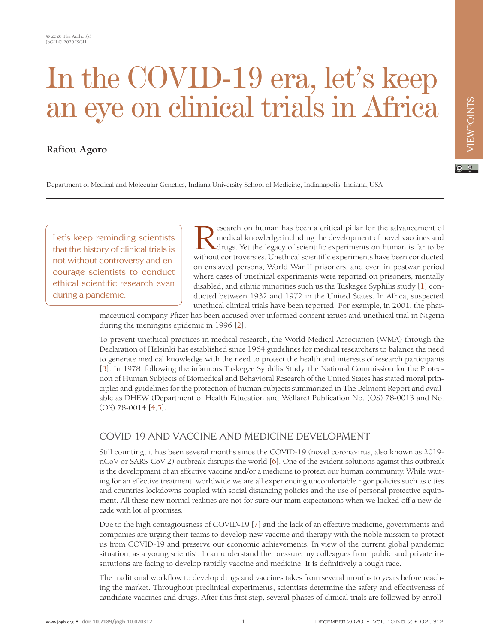# In the COVID-19 era, let's keep an eye on clinical trials in Africa

## **Rafiou Agoro**

 $\boxed{6}$  0

Department of Medical and Molecular Genetics, Indiana University School of Medicine, Indianapolis, Indiana, USA

Let's keep reminding scientists that the history of clinical trials is not without controversy and encourage scientists to conduct ethical scientific research even during a pandemic.

Research on human has been a critical pillar for the advancement of medical knowledge including the development of novel vaccines and drugs. Yet the legacy of scientific experiments on human is far to be without controvers medical knowledge including the development of novel vaccines and drugs. Yet the legacy of scientific experiments on human is far to be without controversies. Unethical scientific experiments have been conducted on enslaved persons, World War II prisoners, and even in postwar period where cases of unethical experiments were reported on prisoners, mentally disabled, and ethnic minorities such us the Tuskegee Syphilis study [\[1\]](#page-2-0) conducted between 1932 and 1972 in the United States. In Africa, suspected unethical clinical trials have been reported. For example, in 2001, the phar-

maceutical company Pfizer has been accused over informed consent issues and unethical trial in Nigeria during the meningitis epidemic in 1996 [\[2\]](#page-2-1).

To prevent unethical practices in medical research, the World Medical Association (WMA) through the Declaration of Helsinki has established since 1964 guidelines for medical researchers to balance the need to generate medical knowledge with the need to protect the health and interests of research participants [\[3](#page-2-2)]. In 1978, following the infamous Tuskegee Syphilis Study, the National Commission for the Protection of Human Subjects of Biomedical and Behavioral Research of the United States has stated moral principles and guidelines for the protection of human subjects summarized in The Belmont Report and available as DHEW (Department of Health Education and Welfare) Publication No. (OS) 78-0013 and No. (OS) 78-0014 [\[4](#page-2-3)[,5](#page-2-4)].

### COVID-19 AND VACCINE AND MEDICINE DEVELOPMENT

Still counting, it has been several months since the COVID-19 (novel coronavirus, also known as 2019 nCoV or SARS-CoV-2) outbreak disrupts the world [\[6\]](#page-2-5). One of the evident solutions against this outbreak is the development of an effective vaccine and/or a medicine to protect our human community. While waiting for an effective treatment, worldwide we are all experiencing uncomfortable rigor policies such as cities and countries lockdowns coupled with social distancing policies and the use of personal protective equipment. All these new normal realities are not for sure our main expectations when we kicked off a new decade with lot of promises.

Due to the high contagiousness of COVID-19 [\[7\]](#page-2-6) and the lack of an effective medicine, governments and companies are urging their teams to develop new vaccine and therapy with the noble mission to protect us from COVID-19 and preserve our economic achievements. In view of the current global pandemic situation, as a young scientist, I can understand the pressure my colleagues from public and private institutions are facing to develop rapidly vaccine and medicine. It is definitively a tough race.

The traditional workflow to develop drugs and vaccines takes from several months to years before reaching the market. Throughout preclinical experiments, scientists determine the safety and effectiveness of candidate vaccines and drugs. After this first step, several phases of clinical trials are followed by enroll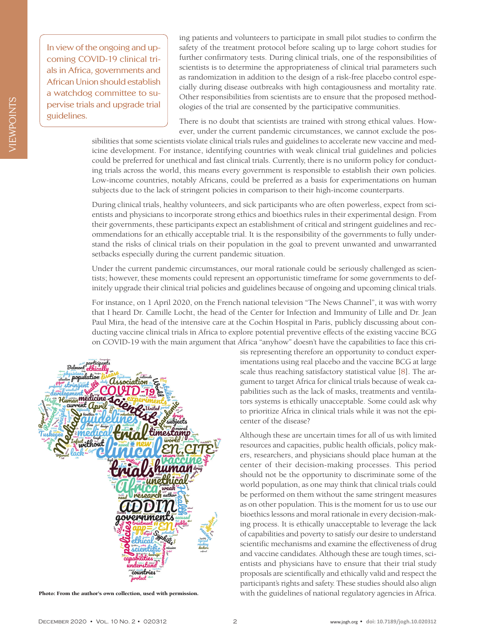**IEWPOINTS** VIEWPOINTS In view of the ongoing and upcoming COVID-19 clinical trials in Africa, governments and African Union should establish a watchdog committee to supervise trials and upgrade trial guidelines.

ing patients and volunteers to participate in small pilot studies to confirm the safety of the treatment protocol before scaling up to large cohort studies for further confirmatory tests. During clinical trials, one of the responsibilities of scientists is to determine the appropriateness of clinical trial parameters such as randomization in addition to the design of a risk-free placebo control especially during disease outbreaks with high contagiousness and mortality rate. Other responsibilities from scientists are to ensure that the proposed methodologies of the trial are consented by the participative communities.

There is no doubt that scientists are trained with strong ethical values. However, under the current pandemic circumstances, we cannot exclude the pos-

sibilities that some scientists violate clinical trials rules and guidelines to accelerate new vaccine and medicine development. For instance, identifying countries with weak clinical trial guidelines and policies could be preferred for unethical and fast clinical trials. Currently, there is no uniform policy for conducting trials across the world, this means every government is responsible to establish their own policies. Low-income countries, notably Africans, could be preferred as a basis for experimentations on human subjects due to the lack of stringent policies in comparison to their high-income counterparts.

During clinical trials, healthy volunteers, and sick participants who are often powerless, expect from scientists and physicians to incorporate strong ethics and bioethics rules in their experimental design. From their governments, these participants expect an establishment of critical and stringent guidelines and recommendations for an ethically acceptable trial. It is the responsibility of the governments to fully understand the risks of clinical trials on their population in the goal to prevent unwanted and unwarranted setbacks especially during the current pandemic situation.

Under the current pandemic circumstances, our moral rationale could be seriously challenged as scientists; however, these moments could represent an opportunistic timeframe for some governments to definitely upgrade their clinical trial policies and guidelines because of ongoing and upcoming clinical trials.

For instance, on 1 April 2020, on the French national television "The News Channel", it was with worry that I heard Dr. Camille Locht, the head of the Center for Infection and Immunity of Lille and Dr. Jean Paul Mira, the head of the intensive care at the Cochin Hospital in Paris, publicly discussing about conducting vaccine clinical trials in Africa to explore potential preventive effects of the existing vaccine BCG on COVID-19 with the main argument that Africa "anyhow" doesn't have the capabilities to face this cri-



sis representing therefore an opportunity to conduct experimentations using real placebo and the vaccine BCG at large scale thus reaching satisfactory statistical value [[8\]](#page-2-7). The argument to target Africa for clinical trials because of weak capabilities such as the lack of masks, treatments and ventilators systems is ethically unacceptable. Some could ask why to prioritize Africa in clinical trials while it was not the epicenter of the disease?

Although these are uncertain times for all of us with limited resources and capacities, public health officials, policy makers, researchers, and physicians should place human at the center of their decision-making processes. This period should not be the opportunity to discriminate some of the world population, as one may think that clinical trials could be performed on them without the same stringent measures as on other population. This is the moment for us to use our bioethics lessons and moral rationale in every decision-making process. It is ethically unacceptable to leverage the lack of capabilities and poverty to satisfy our desire to understand scientific mechanisms and examine the effectiveness of drug and vaccine candidates. Although these are tough times, scientists and physicians have to ensure that their trial study proposals are scientifically and ethically valid and respect the participant's rights and safety. These studies should also align Photo: From the author's own collection, used with permission. with the guidelines of national regulatory agencies in Africa.